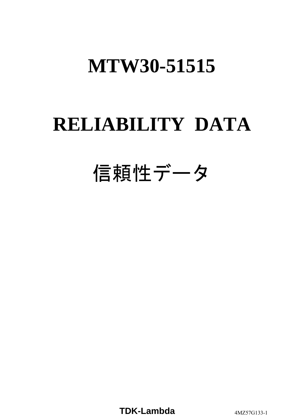# **RELIABILITY DATA**

# 信頼性データ

**TDK-Lambda** 4MZ57G133-1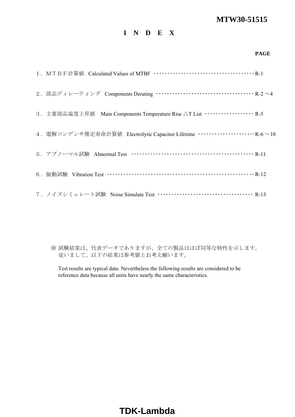## **I N D E X**

#### **PAGE**

| 2. 部品ディレーティング Components Derating …………………………………… R-2~4                        |
|-------------------------------------------------------------------------------|
| 3. 主要部品温度上昇值 Main Components Temperature Rise △T List ··················· R-5 |
|                                                                               |
|                                                                               |
|                                                                               |
| 7. ノイズシミュレート試験 Noise Simulate Test ………………………………… R-13                         |

※ 試験結果は、代表データでありますが、全ての製品はほぼ同等な特性を示します。 従いまして、以下の結果は参考値とお考え願います。

Test results are typical data. Nevertheless the following results are considered to be reference data because all units have nearly the same characteristics.

# **TDK-Lambda**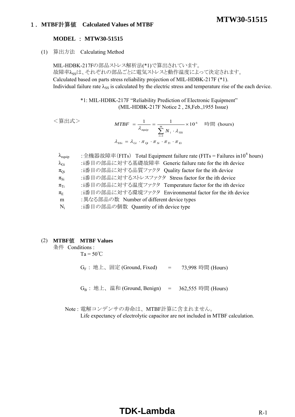## 1.**MTBF**計算値 **Calculated Values of MTBF**

#### **MODEL** : **MTW30-51515**

(1) 算出方法 Calculating Method

MIL-HDBK-217Fの部品ストレス解析法(\*1)で算出されています。 故障率ん。は、それぞれの部品ごとに電気ストレスと動作温度によって決定されます。 Calculated based on parts stress reliability projection of MIL-HDBK-217F (\*1). Individual failure rate  $\lambda_{SS}$  is calculated by the electric stress and temperature rise of the each device.

> \*1: MIL-HDBK-217F "Reliability Prediction of Electronic Equipment" (MIL-HDBK-217F Notice 2 , 28,Feb.,1955 Issue)

| <算出式>                    | $MTBF = \frac{1}{\lambda_{\text{equip}}} = \frac{1}{\sum_{i=1}^{m} N_i \cdot \lambda_{\text{SSI}}} \times 10^6$ 時間 (hours)<br>$\lambda_{\rm SSi} = \lambda_{Gi} \cdot \pi_{oi} \cdot \pi_{Si} \cdot \pi_{Ti} \cdot \pi_{Fi}$       |
|--------------------------|------------------------------------------------------------------------------------------------------------------------------------------------------------------------------------------------------------------------------------|
| $\lambda_{\text{equiv}}$ | : 全機器故障率(FITs) Total Equipment failure rate (FITs = Failures in 10 <sup>6</sup> hours)                                                                                                                                             |
| $\lambda_{Gi}$           | :i番目の部品に対する基礎故障率 Generic failure rate for the ith device                                                                                                                                                                           |
| $\pi_{Qi}$               | :i番目の部品に対する品質ファクタ Quality factor for the ith device                                                                                                                                                                                |
|                          | $\mathcal{A}$ . The contract of the contract of the contract of the contract of the contract of the contract of the contract of the contract of the contract of the contract of the contract of the contract of the contract of th |

 $\pi_{Si}$  :i番目の部品に対するストレスファクタ Stress factor for the ith device

 $\pi_{Ti}$  :i番目の部品に対する温度ファクタ Temperature factor for the ith device

 $\pi_{\rm E}$  :i番目の部品に対する環境ファクタ Environmental factor for the ith device

m :異なる部品の数 Number of different device types

Ni :i番目の部品の個数 Quantity of ith device type

#### (2) **MTBF**値 **MTBF Values**

条件 Conditions :

 $Ta = 50^{\circ}C$ 

 $G_F$  : 地上、固定 (Ground, Fixed)  $= 73,998$  時間 (Hours)

 $G_B$  : 地上、温和 (Ground, Benign) = 362,555 時間 (Hours)

Note : 電解コンデンサの寿命は、MTBF計算に含まれません。

Life expectancy of electrolytic capacitor are not included in MTBF calculation.

## **TDK-Lambda** R-1

## **MTW30-51515**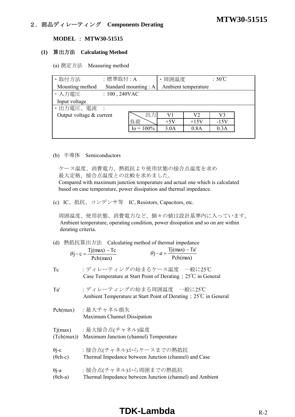# **MTW30-51515** 2.部品ディレーティング **Components Derating**

### **MODEL** : **MTW30-51515**

#### **(1)** 算出方法 **Calculating Method**

(a) 測定方法 Measuring method

| · 取付方法                   | :標準取付:A          |                      | 周囲温度  |                     | $:50^{\circ}$ C |  |
|--------------------------|------------------|----------------------|-------|---------------------|-----------------|--|
| Mounting method          |                  | Standard mounting: A |       | Ambient temperature |                 |  |
| ・入力電圧                    | $: 100, 240$ VAC |                      |       |                     |                 |  |
| Input voltage            |                  |                      |       |                     |                 |  |
| ・出力電圧、電流                 |                  |                      |       |                     |                 |  |
| Output voltage & current |                  | 出力                   | V1    | V2                  | V3              |  |
|                          |                  | 負荷                   | $+5V$ | $+15V$              | $-15V$          |  |
|                          |                  | $I_0 = 100\%$        | 3.0A  | 0.8A                | 0.3A            |  |
|                          |                  |                      |       |                     |                 |  |

#### (b) 半導体 Semiconductors

 ケース温度、消費電力、熱抵抗より使用状態の接合点温度を求め 最大定格、接合点温度との比較を求めました。

 Compared with maximum junction temperature and actual one which is calculated based on case temperature, power dissipation and thermal impedance.

(c) IC、抵抗、コンデンサ等 IC, Resistors, Capacitors, etc.

 周囲温度、使用状態、消費電力など、個々の値は設計基準内に入っています。 Ambient temperature, operating condition, power dissipation and so on are within derating criteria.

|  |  | (d) 熱抵抗算出方法 Calculating method of thermal impedance |  |
|--|--|-----------------------------------------------------|--|
|--|--|-----------------------------------------------------|--|

| $\theta$ <sub>1</sub> – c = $\frac{Tj(max)}{T}$ – Tc | $Tj(max) - Ta'$<br>$\theta$ j – a = $\stackrel{\sim}{\leftarrow}$ |
|------------------------------------------------------|-------------------------------------------------------------------|
| Pch(max)                                             | Pch(max)                                                          |

Tc :ディレーティングの始まるケース温度 一般に25℃ Case Temperature at Start Point of Derating;25℃ in General

Ta' :ディレーティングの始まる周囲温度 一般に25℃ Ambient Temperature at Start Point of Derating;25℃ in General

- Pch(max) :最大チャネル損失 Maximum Channel Dissipation
- Tj(max) :最大接合点(チャネル)温度 (Tch(max)) Maximum Junction (channel) Temperature
- θi-c :接合点(チャネル)からケースまでの熱抵抗
- (θch-c) Thermal Impedance between Junction (channel) and Case
- θj-a :接合点(チャネル)から周囲までの熱抵抗
- (θch-a) Thermal Impedance between Junction (channel) and Ambient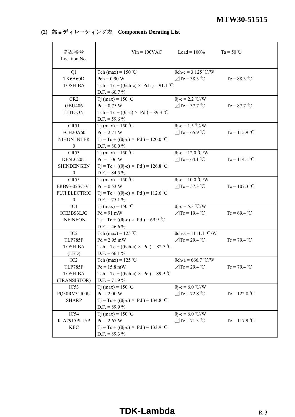## **(2)** 部品ディレーティング表 **Components Derating List**

| 部品番号<br>Location No. |                                                                  | $Vin = 100VAC$ $Load = 100%$ | $Ta = 50^{\circ}C$ |
|----------------------|------------------------------------------------------------------|------------------------------|--------------------|
|                      |                                                                  |                              |                    |
| Q1                   | Tch (max) = $150$ °C                                             | $\theta$ ch-c = 3.125 °C/W   |                    |
| TK6A60D              | $Pch = 0.90 W$                                                   | $\angle$ Tc = 38.3 °C        | $Tc = 88.3 °C$     |
| <b>TOSHIBA</b>       | Tch = Tc + (( $\theta$ ch-c) × Pch) = 91.1 °C<br>$D.F. = 60.7 %$ |                              |                    |
| CR <sub>2</sub>      | T <sub>j</sub> (max) = 150 °C                                    | $\theta$ j-c = 2.2 °C/W      |                    |
| <b>GBU406</b>        | $Pd = 0.75 W$                                                    | $\triangle$ Tc = 37.7 °C     | $Tc = 87.7 °C$     |
| LITE-ON              | Tch = Tc + $((\theta j-c) \times Pd)$ = 89.3 °C                  |                              |                    |
|                      | $D.F. = 59.6 %$                                                  |                              |                    |
| CR51                 | Tj (max) = 150 °C                                                | $\theta$ j-c = 1.5 °C/W      |                    |
| <b>FCH20A60</b>      | $Pd = 2.71 W$                                                    | $\angle$ Tc = 65.9 °C        | $Tc = 115.9$ °C    |
| NIHON INTER          | $Tj = Tc + ((\theta j - c) \times Pd) = 120.0$ °C                |                              |                    |
| $\mathbf{0}$         | $D.F. = 80.0 %$                                                  |                              |                    |
| CR53                 | T <sub>j</sub> (max) = 150 °C                                    | $\theta$ j-c = 12.0 °C/W     |                    |
| DE5LC20U             | $Pd = 1.06 W$                                                    | $\angle$ Tc = 64.1 °C        | $Tc = 114.1$ °C    |
| <b>SHINDENGEN</b>    | $Tj = Tc + ((\theta j - c) \times Pd) = 126.8$ °C                |                              |                    |
| $\boldsymbol{0}$     | $D.F. = 84.5 \%$                                                 |                              |                    |
| CR55                 | Tj (max) = 150 °C                                                | $\theta$ j-c = 10.0 °C/W     |                    |
| ERB93-02SC-V1        | $Pd = 0.53 W$                                                    | $\triangle$ Tc = 57.3 °C     | $Tc = 107.3$ °C    |
| <b>FUJI ELECTRIC</b> | $Tj = Tc + ((\theta j - c) \times Pd) = 112.6$ °C                |                              |                    |
| $\boldsymbol{0}$     | $D.F. = 75.1 %$                                                  |                              |                    |
| IC1                  | Tj (max) = 150 °C                                                | $\theta$ j-c = 5.3 °C/W      |                    |
| ICE3BS3LJG           | $Pd = 91$ mW                                                     | $\angle$ Tc = 19.4 °C        | $Tc = 69.4$ °C     |
| <b>INFINEON</b>      | $Tj = Tc + ((\theta j - c) \times Pd) = 69.9$ °C                 |                              |                    |
|                      | $D.F. = 46.6\%$                                                  |                              |                    |
| IC <sub>2</sub>      | Tch (max) = 125 °C                                               | $\theta$ ch-a = 1111.1 °C/W  |                    |
| <b>TLP785F</b>       | $Pd = 2.95$ mW                                                   | $\angle$ Tc = 29.4 °C        | $Tc = 79.4 °C$     |
| <b>TOSHIBA</b>       | Tch = Tc + (( $\theta$ ch-a) × Pd) = 82.7 °C                     |                              |                    |
| (LED)                | $D.F. = 66.1 %$                                                  |                              |                    |
| IC <sub>2</sub>      | Tch (max) = 125 $\degree$ C                                      | $\theta$ ch-a = 666.7 °C/W   |                    |
| TLP785F              | $Pc = 15.8$ mW                                                   | $\angle$ Tc = 29.4 °C        | $Tc = 79.4 °C$     |
| <b>TOSHIBA</b>       | Tch = Tc + (( $\theta$ ch-a) × Pc) = 89.9 °C                     |                              |                    |
| (TRANSISTOR)         | $D.F. = 71.9\%$                                                  |                              |                    |
| IC53                 | Tj (max) = 150 °C                                                | $\theta$ j-c = 6.0 °C/W      |                    |
| PQ30RV31J00U         | $Pd = 2.00 W$                                                    | $\angle$ Tc = 72.8 °C        | $Tc = 122.8 °C$    |
| <b>SHARP</b>         | $Tj = Tc + ((\theta j - c) \times Pd) = 134.8$ °C                |                              |                    |
|                      | $D.F. = 89.9 \%$                                                 |                              |                    |
| IC54                 | T <sub>j</sub> (max) = 150 °C                                    | $\theta$ j-c = 6.0 °C/W      |                    |
| KIA7915PI-U/P        | $Pd = 2.67 W$                                                    | $\angle$ Tc = 71.3 °C        | $Tc = 117.9$ °C    |
| <b>KEC</b>           | $Tj = Tc + ((\theta j - c) \times Pd) = 133.9$ °C                |                              |                    |
|                      | $D.F. = 89.3 %$                                                  |                              |                    |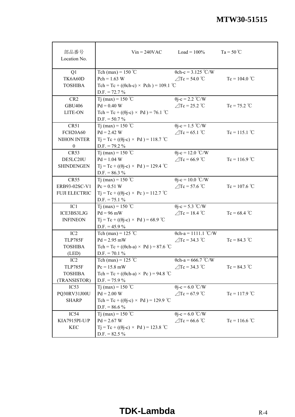| 部品番号<br>Location No. |                                                   | $V$ in = 240VAC Load = 100% | $Ta = 50^{\circ}C$ |
|----------------------|---------------------------------------------------|-----------------------------|--------------------|
| Q1                   | Tch (max) = $150$ °C                              | $\theta$ ch-c = 3.125 °C/W  |                    |
| TK6A60D              | $Pch = 1.63 W$                                    | $\angle$ Tc = 54.0 °C       | $Tc = 104.0$ °C    |
| <b>TOSHIBA</b>       | Tch = Tc + (( $\theta$ ch-c) × Pch) = 109.1 °C    |                             |                    |
|                      | $D.F. = 72.7 \%$                                  |                             |                    |
| CR <sub>2</sub>      | T <sub>j</sub> (max) = 150 °C                     | $\theta$ j-c = 2.2 °C/W     |                    |
| <b>GBU406</b>        | $Pd = 0.40 W$                                     | $\angle$ Tc = 25.2 °C       | $Tc = 75.2$ °C     |
| LITE-ON              | Tch = Tc + $((\theta$ j-c) × Pd) = 76.1 °C        |                             |                    |
|                      | $D.F. = 50.7 \%$                                  |                             |                    |
| CR51                 | Tj (max) = 150 °C                                 | $\theta$ j-c = 1.5 °C/W     |                    |
| <b>FCH20A60</b>      | $Pd = 2.42 W$                                     | $\angle$ Tc = 65.1 °C       | $Tc = 115.1$ °C    |
| NIHON INTER          | $Tj = Tc + ((\theta j - c) \times Pd) = 118.7$ °C |                             |                    |
| $\boldsymbol{0}$     | $D.F. = 79.2 \%$                                  |                             |                    |
| CR53                 | T <sub>j</sub> (max) = 150 °C                     | $\theta$ j-c = 12.0 °C/W    |                    |
| DE5LC20U             | $Pd = 1.04 W$                                     | $\angle$ Tc = 66.9 °C       | $Tc = 116.9$ °C    |
| <b>SHINDENGEN</b>    | $Tj = Tc + ((\theta j - c) \times Pd) = 129.4$ °C |                             |                    |
|                      | $D.F. = 86.3 %$                                   |                             |                    |
| <b>CR55</b>          | T <sub>j</sub> (max) = 150 °C                     | $\theta$ j-c = 10.0 °C/W    |                    |
| ERB93-02SC-V1        | $Pc = 0.51 W$                                     | $\triangle$ Tc = 57.6 °C    | $Tc = 107.6$ °C    |
| <b>FUJI ELECTRIC</b> | $Tj = Tc + ((\theta j - c) \times Pc) = 112.7$ °C |                             |                    |
|                      | $D.F. = 75.1 \%$                                  |                             |                    |
| IC1                  | Tj (max) = 150 °C                                 | $\theta$ j-c = 5.3 °C/W     |                    |
| ICE3BS3LJG           | $Pd = 96$ mW                                      | $\angle$ Tc = 18.4 °C       | $Tc = 68.4$ °C     |
| <b>INFINEON</b>      | $Tj = Tc + ((\theta j - c) \times Pd) = 68.9$ °C  |                             |                    |
|                      | $D.F. = 45.9 \%$                                  |                             |                    |
| IC <sub>2</sub>      | Tch (max) = $125$ °C                              | $\theta$ ch-a = 1111.1 °C/W |                    |
| <b>TLP785F</b>       | $Pd = 2.95$ mW                                    | $\angle$ Tc = 34.3 °C       | $Tc = 84.3 °C$     |
| <b>TOSHIBA</b>       | Tch = Tc + (( $\theta$ ch-a) × Pd) = 87.6 °C      |                             |                    |
| (LED)                | $D.F. = 70.1 \%$                                  |                             |                    |
| IC2                  | Tch (max) = 125 $^{\circ}$ C                      | $\theta$ ch-a = 666.7 °C/W  |                    |
| TLP785F              | $Pc = 15.8$ mW                                    | $\angle$ Tc = 34.3 °C       | $Tc = 84.3 °C$     |
| <b>TOSHIBA</b>       | Tch = Tc + (( $\theta$ ch-a) × Pc) = 94.8 °C      |                             |                    |
| (TRANSISTOR)         | $D.F. = 75.9 \%$                                  |                             |                    |
| IC53                 | Tj (max) = 150 °C                                 | $\theta$ j-c = 6.0 °C/W     |                    |
| PQ30RV31J00U         | $Pd = 2.00 W$                                     | $\angle$ Tc = 67.9 °C       | $Tc = 117.9$ °C    |
| <b>SHARP</b>         | Tch = Tc + (( $\theta$ j-c) × Pd) = 129.9 °C      |                             |                    |
|                      | $D.F. = 86.6\%$                                   |                             |                    |
| IC54                 | Tj (max) = 150 °C                                 | $\theta$ j-c = 6.0 °C/W     |                    |
| KIA7915PI-U/P        | $Pd = 2.67 W$                                     | $\angle$ Tc = 66.6 °C       | $Tc = 116.6 °C$    |
| <b>KEC</b>           | $Tj = Tc + ((\theta j - c) \times Pd) = 123.8$ °C |                             |                    |
|                      | $D.F. = 82.5 \%$                                  |                             |                    |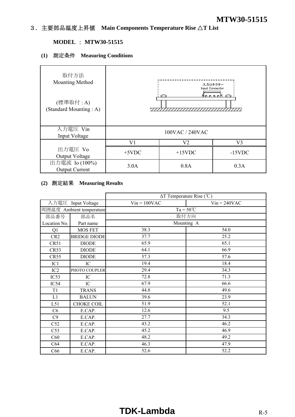## 3.主要部品温度上昇値 **Main Components Temperature Rise** △**T List**

## **MODEL** : **MTW30-51515**

## **(1)** 測定条件 **Measuring Conditions**

| 取付方法<br>Mounting Method<br>(標準取付 : A)<br>(Standard Mounting: A) |          | Input Connector | 入力コネクター<br><u>Anno a B</u> |
|-----------------------------------------------------------------|----------|-----------------|----------------------------|
| 入力電圧 Vin<br>Input Voltage                                       |          | 100VAC / 240VAC |                            |
|                                                                 | V1       | V2              | V3                         |
| 出力電圧 Vo<br>Output Voltage                                       | $+5$ VDC | $+15$ VDC       | $-15$ VDC                  |
| 出力電流 Io (100%)<br><b>Output Current</b>                         | 3.0A     | 0.8A            | 0.3A                       |

## **(2)** 測定結果 **Measuring Results**

|                 |                          | $\Delta T$ Temperature Rise (°C) |                |  |  |  |  |  |  |  |
|-----------------|--------------------------|----------------------------------|----------------|--|--|--|--|--|--|--|
|                 | 入力電圧 Input Voltage       | $Vin = 100VAC$                   | $Vin = 240VAC$ |  |  |  |  |  |  |  |
|                 | 周囲温度 Ambient temperature | $Ta = 50^{\circ}C$               |                |  |  |  |  |  |  |  |
| 部品番号            | 部品名                      | 取付方向                             |                |  |  |  |  |  |  |  |
| Location No.    | Part name                | Mounting A                       |                |  |  |  |  |  |  |  |
| Q1              | MOS FET                  | 38.3                             | 54.0           |  |  |  |  |  |  |  |
| CR <sub>2</sub> | <b>BRIDGE DIODE</b>      | 37.7                             | 25.2           |  |  |  |  |  |  |  |
| CR51            | <b>DIODE</b>             | 65.9                             | 65.1           |  |  |  |  |  |  |  |
| CR53            | <b>DIODE</b>             | 64.1                             | 66.9           |  |  |  |  |  |  |  |
| CR55            | <b>DIODE</b>             | 57.3                             | 57.6           |  |  |  |  |  |  |  |
| IC1             | IC                       | 19.4                             | 18.4           |  |  |  |  |  |  |  |
| IC2             | PHOTO COUPLER            | 29.4                             | 34.3           |  |  |  |  |  |  |  |
| IC53            | IC                       | 72.8                             | 71.3           |  |  |  |  |  |  |  |
| IC54            | IC                       | 67.9                             | 66.6           |  |  |  |  |  |  |  |
| T1              | <b>TRANS</b>             | 44.8                             | 49.6           |  |  |  |  |  |  |  |
| L1              | <b>BALUN</b>             | 39.6                             | 23.9           |  |  |  |  |  |  |  |
| L51             | <b>CHOKE COIL</b>        | 51.9                             | 52.1           |  |  |  |  |  |  |  |
| C6              | E.CAP.                   | 12.6                             | 9.5            |  |  |  |  |  |  |  |
| C9              | E.CAP.                   | 27.7                             | 34.3           |  |  |  |  |  |  |  |
| C52             | E.CAP.                   | 43.2                             | 46.2           |  |  |  |  |  |  |  |
| C53             | E.CAP.                   | 45.2                             | 46.9           |  |  |  |  |  |  |  |
| C60             | E.CAP.                   | 48.2                             | 49.2           |  |  |  |  |  |  |  |
| C64             | E.CAP.                   | 46.3                             | 47.9           |  |  |  |  |  |  |  |
| C66             | E.CAP.                   | 52.6                             | 52.2           |  |  |  |  |  |  |  |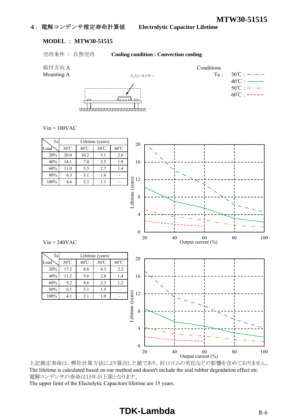## 4.電解コンデンサ推定寿命計算値 **Electrolytic Capacitor Lifetime**

## **MODEL** : **MTW30-51515**

空冷条件 : 自然空冷 **Cooling condition : Convection cooling**

取付方向 A Conditions





 $Vin = 100VAC$ 



上記推定寿命は、弊社計算方法により算出した値であり、封口ゴムの劣化などの影響を含めておりません。 The lifetime is calculated based on our method and doesn't include the seal rubber degradation effect etc. 電解コンデンサの寿命は15年が上限となります。

The upper limit of the Electolytic Capacitors lifetime are 15 years.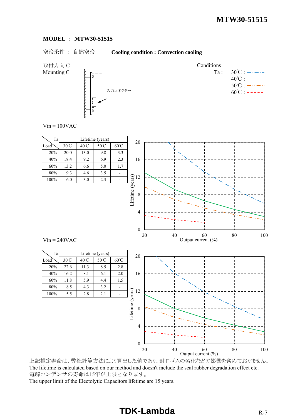#### **MODEL** : **MTW30-51515**

## 空冷条件 : 自然空冷 **Cooling condition : Convection cooling**

取付方向 C Conditions



Mounting C  $\begin{bmatrix} \downarrow \\ \downarrow \end{bmatrix}$   $\begin{bmatrix} \downarrow \\ \downarrow \end{bmatrix}$   $\begin{bmatrix} \downarrow \\ \downarrow \end{bmatrix}$   $\begin{bmatrix} \downarrow \\ \downarrow \end{bmatrix}$   $\begin{bmatrix} \downarrow \\ \downarrow \end{bmatrix}$  $40^{\circ}$ C :  $50^{\circ}$ C :  $-\cdots - \cdots$  $60^{\circ}$ C : -----

 $Vin = 100VAC$ 

| Ta   | Lifetime (years) |      |                |                |  |  |  |  |  |  |  |  |
|------|------------------|------|----------------|----------------|--|--|--|--|--|--|--|--|
| Load | $30^{\circ}$ C   | 40°C | $50^{\circ}$ C | $60^{\circ}$ C |  |  |  |  |  |  |  |  |
| 20%  | 20.0             | 13.0 | 9.8            | 3.3            |  |  |  |  |  |  |  |  |
| 40%  | 18.4             | 9.2  | 6.9            | 2.3            |  |  |  |  |  |  |  |  |
| 60%  | 13.2             | 6.6  | 5.0            | 1.7            |  |  |  |  |  |  |  |  |
| 80%  | 9.3              | 4.6  | 3.5            |                |  |  |  |  |  |  |  |  |
| 100% | 6.0              | 3.0  | 2.3            |                |  |  |  |  |  |  |  |  |

Ta Lifetime (years)

100% 5.5 2.8 2.1



20 40 60 80 100

 $Vin = 240VAC$ 

上記推定寿命は、弊社計算方法により算出した値であり、封口ゴムの劣化などの影響を含めておりません。 The lifetime is calculated based on our method and doesn't include the seal rubber degradation effect etc. 電解コンデンサの寿命は15年が上限となります。 The upper limit of the Electolytic Capacitors lifetime are 15 years. Output current  $(\% )$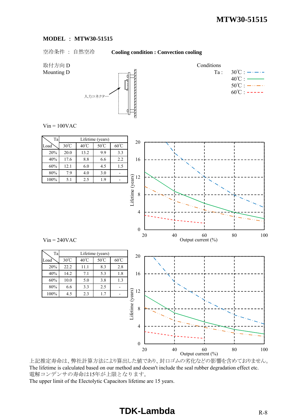#### **MODEL** : **MTW30-51515**

空冷条件 : 自然空冷 **Cooling condition : Convection cooling**

取付方向 D Conditions



Mounting D  $\qquad \qquad \text{Equation 1:} \quad 30^{\circ}\text{C} : \text{---} \cdot \text{---}$  $40^{\circ}$ C :  $50^{\circ}$ C :  $-\cdots - \cdots$  $60^{\circ}$ C : -----

 $Vin = 100VAC$ 



上記推定寿命は、弊社計算方法により算出した値であり、封口ゴムの劣化などの影響を含めておりません。 The lifetime is calculated based on our method and doesn't include the seal rubber degradation effect etc. 電解コンデンサの寿命は15年が上限となります。 The upper limit of the Electolytic Capacitors lifetime are 15 years.

20 40 60 80 100

Output current  $(\% )$ 

0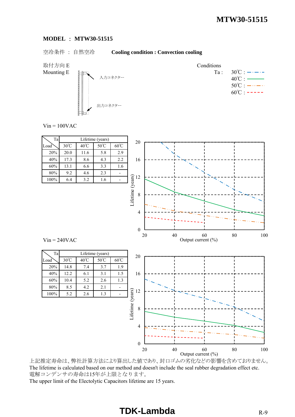#### **MODEL** : **MTW30-51515**

## 空冷条件 : 自然空冷 **Cooling condition : Convection cooling**

取付方向 E Conditions



Mounting E  $\downarrow \qquad \qquad$  Ta : 30°C :  $\rightarrow \rightarrow \rightarrow$  $40^{\circ}$ C :  $50^{\circ}$ C :  $-\cdots$   $\cdots$  $60^{\circ}$ C : -----

 $Vin = 100VAC$ 



上記推定寿命は、弊社計算方法により算出した値であり、封口ゴムの劣化などの影響を含めておりません。 The lifetime is calculated based on our method and doesn't include the seal rubber degradation effect etc. 電解コンデンサの寿命は15年が上限となります。 The upper limit of the Electolytic Capacitors lifetime are 15 years.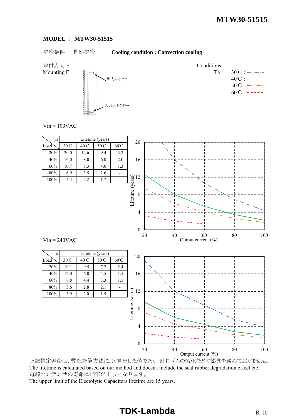#### **MODEL** : **MTW30-51515**

## 空冷条件 : 自然空冷 **Cooling condition : Convection cooling**

取付方向 F Conditions



Mounting F  $H_{\text{min}}$  Ta:  $30^{\circ}\text{C}$ :  $\cdots$  $40^{\circ}$ C :  $50^{\circ}$ C :  $-\cdots$   $\cdots$  $60^{\circ}$ C : -----

 $Vin = 100VAC$ 

| $\rm Ta$       |                       |                       | Lifetime (years)       |                          | $20\,$                                                |        |                                         |               |
|----------------|-----------------------|-----------------------|------------------------|--------------------------|-------------------------------------------------------|--------|-----------------------------------------|---------------|
| Load           | $30^{\circ}$ C        | $40^{\circ}\!{\rm C}$ | $50^{\circ}\mathrm{C}$ | $60^{\circ}\mathrm{C}$   |                                                       |        |                                         |               |
| $20\%$         | 20.0                  | 12.6                  | 9.4                    | 3.2                      |                                                       |        |                                         |               |
| 40%            | 16.0                  | $8.0\,$               | 6.0                    | $2.0\,$                  | 16                                                    |        |                                         |               |
| $60\%$         | $10.7\,$              | 5.3                   | 4.0                    | 1.3                      |                                                       |        |                                         |               |
| $80\%$         | 6.9                   | $3.5\,$               | $2.6\,$                | $\overline{\phantom{a}}$ |                                                       |        |                                         |               |
| $100\%$        | 4.4                   | 2.2                   | 1.7                    | Ξ.                       |                                                       |        |                                         |               |
|                |                       |                       |                        |                          | Lifetime (years)<br>$\frac{12}{12}$<br>$\overline{4}$ |        |                                         |               |
| $Vin = 240VAC$ |                       |                       |                        |                          | $\boldsymbol{0}$                                      | $20\,$ | $40\,$<br>$60$<br>Output current $(\%)$ | $80\,$<br>100 |
| Ta             |                       |                       | Lifetime (years)       |                          |                                                       |        |                                         |               |
| Load           | $30^{\circ}\!{\rm C}$ | $40^{\circ}\!{\rm C}$ | $50^{\circ}\textrm{C}$ | $60^{\circ}\mathrm{C}$   | $20\,$                                                |        |                                         |               |
| $20\%$         | 19.1                  | 9.5                   | $7.2\,$                | 2.4                      |                                                       |        |                                         |               |
| 40%            | 12.0                  | $6.0\,$               | 4.5                    | $1.5\,$                  | 16                                                    |        |                                         |               |
| 60%            | $8.8\,$               | 4.4                   | 3.3                    | $1.1\,$                  |                                                       |        |                                         |               |
| $80\%$         | 5.6                   | $2.8\,$               | 2.1                    | $\blacksquare$           |                                                       |        |                                         |               |
| $100\%$        | 3.9                   | $2.0\,$               | 1.5                    | $\blacksquare$           | Lifetime (years)<br>$12\,$                            |        |                                         |               |

上記推定寿命は、弊社計算方法により算出した値であり、封口ゴムの劣化などの影響を含めておりません。 The lifetime is calculated based on our method and doesn't include the seal rubber degradation effect etc. 電解コンデンサの寿命は15年が上限となります。 The upper limit of the Electolytic Capacitors lifetime are 15 years. Output current (%)

20 40 60 80 100

0

4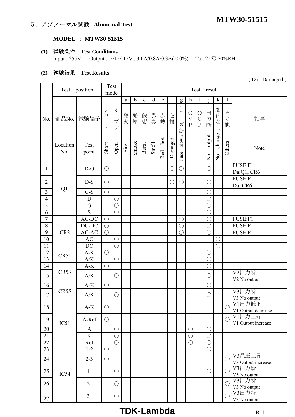# **MTW30-51515** 5.アブノーマル試験 **Abnormal Test**

## **MODEL** : **MTW30-51515**

## **(1)** 試験条件 **Test Conditions**

Input : 255V Output : 5/15/-15V , 3.0A/0.8A/0.3A(100%) Ta : 25℃ 70%RH

#### **(2)** 試験結果 **Test Results**

|                  |                 | Test position                  |                                              | Test                                                                                            | Test result            |                   |                   |                   |                     |             |                                                                                |                                                                      |                                                         |                                     |                                 |                              |                                              |
|------------------|-----------------|--------------------------------|----------------------------------------------|-------------------------------------------------------------------------------------------------|------------------------|-------------------|-------------------|-------------------|---------------------|-------------|--------------------------------------------------------------------------------|----------------------------------------------------------------------|---------------------------------------------------------|-------------------------------------|---------------------------------|------------------------------|----------------------------------------------|
|                  |                 |                                | mode                                         |                                                                                                 |                        |                   |                   |                   |                     |             |                                                                                |                                                                      |                                                         |                                     |                                 |                              |                                              |
| No.              | 部品No.           | 試験端子                           | $\ddot{\checkmark}$<br>$\exists$<br>$\vdash$ | 才<br>$\begin{array}{c} \hline \end{array}$<br>$\mathcal{I}^{\circ}$<br>$\overline{\mathscr{S}}$ | $\mathbf{a}$<br>発<br>火 | $\mathbf b$<br>発煙 | $\mathbf c$<br>破裂 | $\mathbf d$<br>異臭 | e<br>赤熱             | f<br>破<br>損 | $\mathbf{g}$<br>ヒ<br>$\mathcal{L}$<br>$\begin{array}{c} \end{array}$<br>ズ<br>断 | $\mathbf h$<br>$\bigcirc$<br>$\overline{\mathrm{V}}$<br>$\mathbf{P}$ | $\bf{l}$<br>$\bigcirc$<br>$\mathbf C$<br>$\overline{P}$ | 出力<br>断                             | $\mathbf k$<br>変化な<br>L         | 1<br>そ<br>$\mathcal{O}$<br>他 | 記事                                           |
|                  | Location<br>No. | Test<br>point                  | Short                                        | Open                                                                                            | Fire                   | Smoke             | Burst             | Smell             | $_{\rm hot}$<br>Red | Damaged     | blown<br>Fuse                                                                  |                                                                      |                                                         | output<br>$\mathsf{S}^{\mathsf{O}}$ | change<br>$\mathop{\mathsf{S}}$ | Others                       | Note                                         |
| $\mathbf{1}$     |                 | $D-G$                          | $\bigcirc$                                   |                                                                                                 |                        |                   |                   |                   |                     | $\bigcirc$  | $\bigcirc$                                                                     |                                                                      |                                                         | $\bigcirc$                          |                                 |                              | FUSE:F1<br>Da:Q1, CR6                        |
| $\overline{2}$   |                 | $D-S$                          | $\bigcirc$                                   |                                                                                                 |                        |                   |                   |                   |                     | О           | $\bigcirc$                                                                     |                                                                      |                                                         | $\bigcirc$                          |                                 |                              | FUSE:F1<br>Da: CR6                           |
| $\overline{3}$   | Q1              | $G-S$                          | $\bigcirc$                                   |                                                                                                 |                        |                   |                   |                   |                     |             |                                                                                |                                                                      |                                                         | $\bigcirc$                          |                                 |                              |                                              |
| $\overline{4}$   |                 | D                              |                                              | $\bigcirc$                                                                                      |                        |                   |                   |                   |                     |             |                                                                                |                                                                      |                                                         | $\bigcirc$                          |                                 |                              |                                              |
| $\overline{5}$   |                 | G                              |                                              | $\overline{\bigcirc}$                                                                           |                        |                   |                   |                   |                     |             |                                                                                |                                                                      |                                                         | $\bigcirc$                          |                                 |                              |                                              |
| 6                |                 | S                              |                                              | $\bigcirc$                                                                                      |                        |                   |                   |                   |                     |             |                                                                                |                                                                      |                                                         | $\bigcirc$                          |                                 |                              |                                              |
| $\boldsymbol{7}$ |                 | $\mbox{{\sc AC-DC}}$           | $\bigcirc$                                   |                                                                                                 |                        |                   |                   |                   |                     |             | $\bigcirc$                                                                     |                                                                      |                                                         | $\overline{\bigcirc}$               |                                 |                              | FUSE:F1                                      |
| $8\,$            |                 | $DC-DC$                        | $\bigcirc$                                   |                                                                                                 |                        |                   |                   |                   |                     |             | $\bigcirc$                                                                     |                                                                      |                                                         | $\bigcirc$                          |                                 |                              | FUSE:F1                                      |
| 9                | CR <sub>2</sub> | AC-AC                          | $\bigcirc$                                   |                                                                                                 |                        |                   |                   |                   |                     |             | $\bigcirc$                                                                     |                                                                      |                                                         | $\bigcirc$                          |                                 |                              | FUSE:F1                                      |
| $10\,$           |                 | AC                             |                                              | $\bigcirc$                                                                                      |                        |                   |                   |                   |                     |             |                                                                                |                                                                      |                                                         |                                     | С                               |                              |                                              |
| 11               |                 | DC                             |                                              | $\bigcirc$                                                                                      |                        |                   |                   |                   |                     |             |                                                                                |                                                                      |                                                         |                                     | $\bigcirc$                      |                              |                                              |
| 12               |                 | $A-K$                          | $\bigcirc$                                   |                                                                                                 |                        |                   |                   |                   |                     |             |                                                                                |                                                                      |                                                         | $\bigcirc$                          |                                 |                              |                                              |
| $\overline{13}$  | CR51            | $\mathbf{A}/\mathbf{K}$        |                                              | $\bigcirc$                                                                                      |                        |                   |                   |                   |                     |             |                                                                                |                                                                      |                                                         | $\bigcirc$                          |                                 |                              |                                              |
| 14               |                 | $A-K$                          | $\bigcirc$                                   |                                                                                                 |                        |                   |                   |                   |                     |             |                                                                                |                                                                      |                                                         | $\bigcirc$                          |                                 |                              |                                              |
| 15               | CR53            | A/K                            |                                              | $\bigcirc$                                                                                      |                        |                   |                   |                   |                     |             |                                                                                |                                                                      |                                                         | $\bigcirc$                          |                                 |                              | V2出力断<br>V2 No output                        |
| 16               |                 | $A-K$                          | $\bigcirc$                                   |                                                                                                 |                        |                   |                   |                   |                     |             |                                                                                |                                                                      |                                                         | $\bigcirc$                          |                                 |                              |                                              |
| 17               | CR55            | A/K                            |                                              | $\bigcirc$                                                                                      |                        |                   |                   |                   |                     |             |                                                                                |                                                                      |                                                         | $\bigcirc$                          |                                 |                              | V3出力断                                        |
| 18               |                 | $\mathbf{A}\text{-}\mathbf{K}$ | $\bigcirc$                                   |                                                                                                 |                        |                   |                   |                   |                     |             |                                                                                |                                                                      |                                                         |                                     |                                 | $\bigcirc$                   | V3 No output<br>V1出力低下<br>V1 Output decrease |
| 19               | IC51            | A-Ref                          | $\bigcirc$                                   |                                                                                                 |                        |                   |                   |                   |                     |             |                                                                                |                                                                      |                                                         |                                     |                                 | $\bigcirc$                   | V1出力上昇<br>V1 Output increase                 |
| 20               |                 | A                              |                                              | $\bigcirc$                                                                                      |                        |                   |                   |                   |                     |             |                                                                                | $\bigcirc$                                                           |                                                         | $\bigcirc$                          |                                 |                              |                                              |
| 21               |                 | $\rm K$                        |                                              | $\bigcirc$                                                                                      |                        |                   |                   |                   |                     |             |                                                                                | $\bigcirc$                                                           |                                                         | $\bigcirc$                          |                                 |                              |                                              |
| 22               |                 | Ref                            |                                              | $\bigcirc$                                                                                      |                        |                   |                   |                   |                     |             |                                                                                | $\bigcirc$                                                           |                                                         | $\bigcirc$                          |                                 |                              |                                              |
| 23               |                 | $1 - 2$                        | $\bigcirc$                                   |                                                                                                 |                        |                   |                   |                   |                     |             |                                                                                |                                                                      |                                                         | $\bigcirc$                          |                                 |                              |                                              |
| 24               |                 | $2 - 3$                        | $\bigcirc$                                   |                                                                                                 |                        |                   |                   |                   |                     |             |                                                                                |                                                                      |                                                         |                                     |                                 | O                            | V3電圧上昇<br>V3 Output increase                 |
| 25               | IC54            | 1                              |                                              | $\bigcirc$                                                                                      |                        |                   |                   |                   |                     |             |                                                                                |                                                                      |                                                         | $\bigcirc$                          |                                 | $\bigcirc$                   | V3出力断<br>V3 No output                        |
| 26               |                 | $\overline{2}$                 |                                              | $\bigcirc$                                                                                      |                        |                   |                   |                   |                     |             |                                                                                |                                                                      |                                                         |                                     |                                 | $\bigcirc$                   | V3出力断<br>V3 No output                        |
| $27\,$           |                 | $\mathfrak{Z}$                 |                                              | $\bigcirc$                                                                                      |                        |                   |                   |                   |                     |             |                                                                                |                                                                      |                                                         |                                     |                                 | $\bigcirc$                   | V3出力断<br>V3 No output                        |

# **TDK-Lambda** R-11

( Da : Damaged )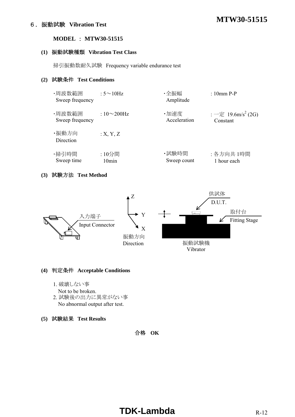# **MTW30-51515** 6.振動試験 **Vibration Test**

## **MODEL** : **MTW30-51515**

#### **(1)** 振動試験種類 **Vibration Test Class**

掃引振動数耐久試験 Frequency variable endurance test

## **(2)** 試験条件 **Test Conditions**

| ・周波数範囲<br>Sweep frequency | : $5 \sim 10$ Hz   | ・全振幅<br>Amplitude | $: 10$ mm P-P                  |
|---------------------------|--------------------|-------------------|--------------------------------|
| ・周波数範囲                    | : $10\infty200$ Hz | ·加速度              | : 一定 19.6m/s <sup>2</sup> (2G) |
| Sweep frequency           |                    | Acceleration      | Constant                       |
| ・振動方向<br>Direction        | :X, Y, Z           |                   |                                |
| ・掃引時間                     | :10分間              | ・試験時間             | : 各方向共 1時間                     |
| Sweep time                | 10min              | Sweep count       | 1 hour each                    |

## **(3)** 試験方法 **Test Method**



#### **(4)** 判定条件 **Acceptable Conditions**

- 1. 破壊しない事
	- Not to be broken.
- 2. 試験後の出力に異常がない事 No abnormal output after test.
- **(5)** 試験結果 **Test Results**

合格 **OK**